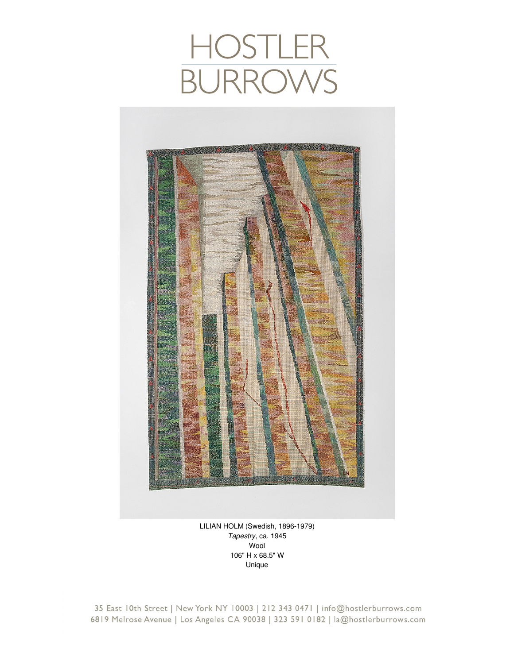## HOSTLER<br>BURROWS



LILIAN HOLM (Swedish, 1896-1979) *Tapestry*, ca. 1945 Wool 106" H x 68.5" W Unique

35 East 10th Street | New York NY 10003 | 212 343 0471 | info@hostlerburrows.com 6819 Melrose Avenue | Los Angeles CA 90038 | 323 591 0182 | la@hostlerburrows.com